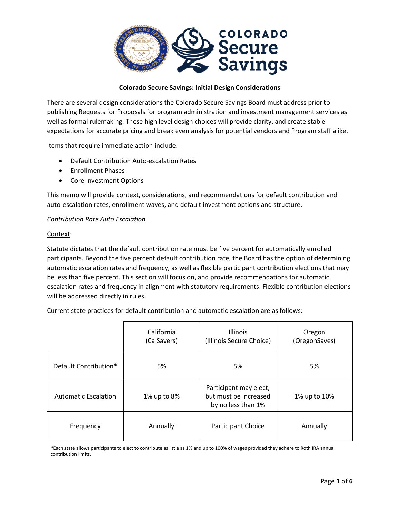

#### **Colorado Secure Savings: Initial Design Considerations**

There are several design considerations the Colorado Secure Savings Board must address prior to publishing Requests for Proposals for program administration and investment management services as well as formal rulemaking. These high level design choices will provide clarity, and create stable expectations for accurate pricing and break even analysis for potential vendors and Program staff alike.

Items that require immediate action include:

- Default Contribution Auto-escalation Rates
- Enrollment Phases
- Core Investment Options

This memo will provide context, considerations, and recommendations for default contribution and auto-escalation rates, enrollment waves, and default investment options and structure.

#### *Contribution Rate Auto Escalation*

#### Context:

Statute dictates that the default contribution rate must be five percent for automatically enrolled participants. Beyond the five percent default contribution rate, the Board has the option of determining automatic escalation rates and frequency, as well as flexible participant contribution elections that may be less than five percent. This section will focus on, and provide recommendations for automatic escalation rates and frequency in alignment with statutory requirements. Flexible contribution elections will be addressed directly in rules.

Current state practices for default contribution and automatic escalation are as follows:

|                             | California<br>(CalSavers) | <b>Illinois</b><br>(Illinois Secure Choice)                           | Oregon<br>(OregonSaves) |
|-----------------------------|---------------------------|-----------------------------------------------------------------------|-------------------------|
| Default Contribution*       | 5%                        | 5%                                                                    | 5%                      |
| <b>Automatic Escalation</b> | 1% up to 8%               | Participant may elect,<br>but must be increased<br>by no less than 1% | 1% up to 10%            |
| Frequency                   | Annually                  | <b>Participant Choice</b>                                             | Annually                |

\*Each state allows participants to elect to contribute as little as 1% and up to 100% of wages provided they adhere to Roth IRA annual contribution limits.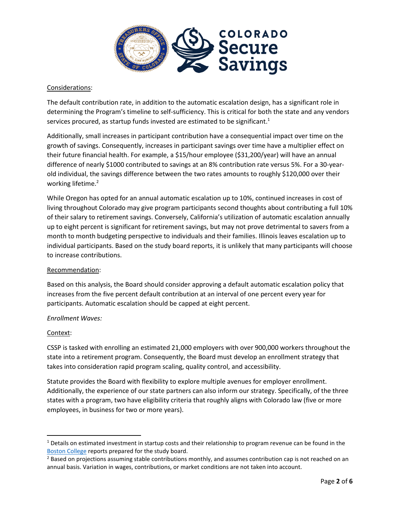

# Considerations:

The default contribution rate, in addition to the automatic escalation design, has a significant role in determining the Program's timeline to self-sufficiency. This is critical for both the state and any vendors services procured, as startup funds invested are estimated to be significant.<sup>1</sup>

Additionally, small increases in participant contribution have a consequential impact over time on the growth of savings. Consequently, increases in participant savings over time have a multiplier effect on their future financial health. For example, a \$15/hour employee (\$31,200/year) will have an annual difference of nearly \$1000 contributed to savings at an 8% contribution rate versus 5%. For a 30-yearold individual, the savings difference between the two rates amounts to roughly \$120,000 over their working lifetime.<sup>2</sup>

While Oregon has opted for an annual automatic escalation up to 10%, continued increases in cost of living throughout Colorado may give program participants second thoughts about contributing a full 10% of their salary to retirement savings. Conversely, California's utilization of automatic escalation annually up to eight percent is significant for retirement savings, but may not prove detrimental to savers from a month to month budgeting perspective to individuals and their families. Illinois leaves escalation up to individual participants. Based on the study board reports, it is unlikely that many participants will choose to increase contributions.

# Recommendation:

Based on this analysis, the Board should consider approving a default automatic escalation policy that increases from the five percent default contribution at an interval of one percent every year for participants. Automatic escalation should be capped at eight percent.

# *Enrollment Waves:*

# Context:

 $\overline{a}$ 

CSSP is tasked with enrolling an estimated 21,000 employers with over 900,000 workers throughout the state into a retirement program. Consequently, the Board must develop an enrollment strategy that takes into consideration rapid program scaling, quality control, and accessibility.

Statute provides the Board with flexibility to explore multiple avenues for employer enrollment. Additionally, the experience of our state partners can also inform our strategy. Specifically, of the three states with a program, two have eligibility criteria that roughly aligns with Colorado law (five or more employees, in business for two or more years).

 $1$  Details on estimated investment in startup costs and their relationship to program revenue can be found in the [Boston College](https://www.colorado.gov/pacific/sites/default/files/atoms/files/CRR%20-%20Study%20A%20-%20Final%20Report%20%281%29.pdf) reports prepared for the study board.

<sup>&</sup>lt;sup>2</sup> Based on projections assuming stable contributions monthly, and assumes contribution cap is not reached on an annual basis. Variation in wages, contributions, or market conditions are not taken into account.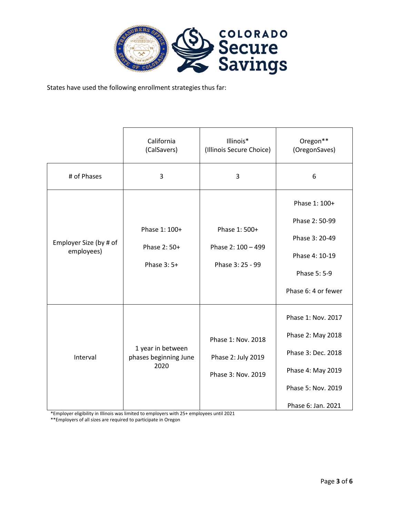

States have used the following enrollment strategies thus far:

|                                      | California<br>(CalSavers)                          | Illinois*<br>(Illinois Secure Choice)  | Oregon**<br>(OregonSaves) |
|--------------------------------------|----------------------------------------------------|----------------------------------------|---------------------------|
| # of Phases                          | 3                                                  | $\overline{3}$                         | 6                         |
| Employer Size (by # of<br>employees) |                                                    |                                        | Phase 1: 100+             |
|                                      | Phase 1: 100+                                      | Phase 1: 500+                          | Phase 2: 50-99            |
|                                      |                                                    |                                        | Phase 3: 20-49            |
|                                      | Phase 2: 50+<br>Phase 3:5+                         | Phase 2: 100 - 499<br>Phase 3: 25 - 99 | Phase 4: 10-19            |
|                                      |                                                    |                                        | Phase 5: 5-9              |
|                                      |                                                    |                                        | Phase 6: 4 or fewer       |
| Interval                             |                                                    |                                        | Phase 1: Nov. 2017        |
|                                      | 1 year in between<br>phases beginning June<br>2020 | Phase 1: Nov. 2018                     | Phase 2: May 2018         |
|                                      |                                                    | Phase 2: July 2019                     | Phase 3: Dec. 2018        |
|                                      |                                                    | Phase 3: Nov. 2019                     | Phase 4: May 2019         |
|                                      |                                                    |                                        | Phase 5: Nov. 2019        |
|                                      |                                                    |                                        | Phase 6: Jan. 2021        |

\*Employer eligibility in Illinois was limited to employers with 25+ employees until 2021

\*\*Employers of all sizes are required to participate in Oregon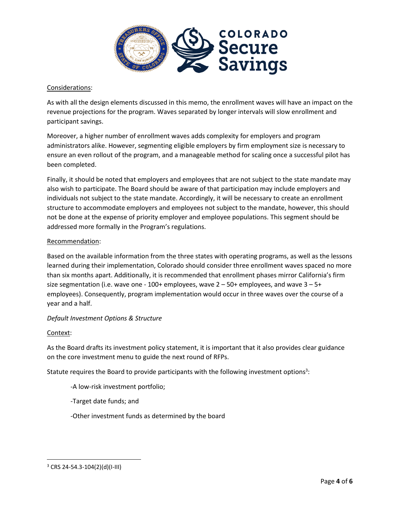

# Considerations:

As with all the design elements discussed in this memo, the enrollment waves will have an impact on the revenue projections for the program. Waves separated by longer intervals will slow enrollment and participant savings.

Moreover, a higher number of enrollment waves adds complexity for employers and program administrators alike. However, segmenting eligible employers by firm employment size is necessary to ensure an even rollout of the program, and a manageable method for scaling once a successful pilot has been completed.

Finally, it should be noted that employers and employees that are not subject to the state mandate may also wish to participate. The Board should be aware of that participation may include employers and individuals not subject to the state mandate. Accordingly, it will be necessary to create an enrollment structure to accommodate employers and employees not subject to the mandate, however, this should not be done at the expense of priority employer and employee populations. This segment should be addressed more formally in the Program's regulations.

#### Recommendation:

Based on the available information from the three states with operating programs, as well as the lessons learned during their implementation, Colorado should consider three enrollment waves spaced no more than six months apart. Additionally, it is recommended that enrollment phases mirror California's firm size segmentation (i.e. wave one - 100+ employees, wave  $2 - 50+$  employees, and wave  $3 - 5+$ employees). Consequently, program implementation would occur in three waves over the course of a year and a half.

# *Default Investment Options & Structure*

#### Context:

 $\overline{\phantom{a}}$ 

As the Board drafts its investment policy statement, it is important that it also provides clear guidance on the core investment menu to guide the next round of RFPs.

Statute requires the Board to provide participants with the following investment options<sup>3</sup>:

- -A low-risk investment portfolio;
- -Target date funds; and
- -Other investment funds as determined by the board

 $3$  CRS 24-54.3-104(2)(d)(I-III)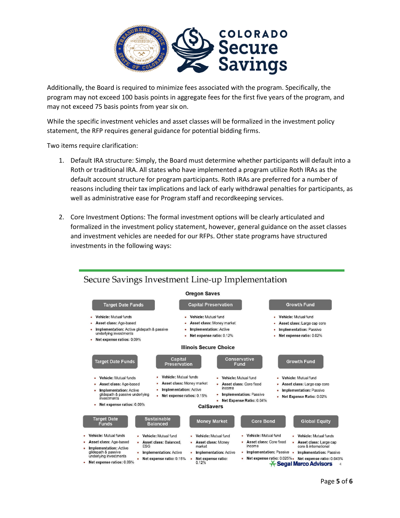

Additionally, the Board is required to minimize fees associated with the program. Specifically, the program may not exceed 100 basis points in aggregate fees for the first five years of the program, and may not exceed 75 basis points from year six on.

While the specific investment vehicles and asset classes will be formalized in the investment policy statement, the RFP requires general guidance for potential bidding firms.

Two items require clarification:

- 1. Default IRA structure: Simply, the Board must determine whether participants will default into a Roth or traditional IRA. All states who have implemented a program utilize Roth IRAs as the default account structure for program participants. Roth IRAs are preferred for a number of reasons including their tax implications and lack of early withdrawal penalties for participants, as well as administrative ease for Program staff and recordkeeping services.
- 2. Core Investment Options: The formal investment options will be clearly articulated and formalized in the investment policy statement, however, general guidance on the asset classes and investment vehicles are needed for our RFPs. Other state programs have structured investments in the following ways: